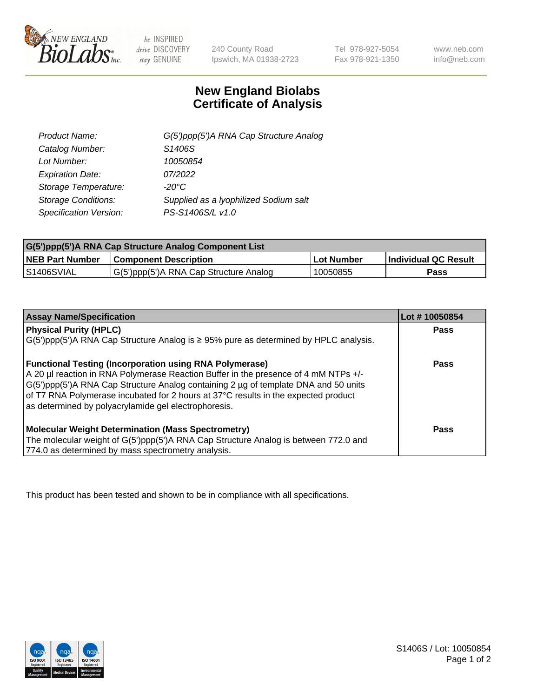

 $be$  INSPIRED drive DISCOVERY stay GENUINE

240 County Road Ipswich, MA 01938-2723

Tel 978-927-5054 Fax 978-921-1350 www.neb.com info@neb.com

## **New England Biolabs Certificate of Analysis**

| G(5')ppp(5')A RNA Cap Structure Analog |
|----------------------------------------|
| S1406S                                 |
| 10050854                               |
| 07/2022                                |
| $-20^{\circ}$ C                        |
| Supplied as a Iyophilized Sodium salt  |
| PS-S1406S/L v1.0                       |
|                                        |

| G(5')ppp(5')A RNA Cap Structure Analog Component List |                                        |                   |                             |  |
|-------------------------------------------------------|----------------------------------------|-------------------|-----------------------------|--|
| <b>NEB Part Number</b>                                | <b>Component Description</b>           | <b>Lot Number</b> | <b>Individual QC Result</b> |  |
| IS1406SVIAL                                           | G(5')ppp(5')A RNA Cap Structure Analog | 10050855          | Pass                        |  |

| <b>Assay Name/Specification</b>                                                              | Lot #10050854 |
|----------------------------------------------------------------------------------------------|---------------|
| <b>Physical Purity (HPLC)</b>                                                                | <b>Pass</b>   |
| $G(5')$ ppp(5')A RNA Cap Structure Analog is $\geq$ 95% pure as determined by HPLC analysis. |               |
| <b>Functional Testing (Incorporation using RNA Polymerase)</b>                               | <b>Pass</b>   |
| A 20 µl reaction in RNA Polymerase Reaction Buffer in the presence of 4 mM NTPs +/-          |               |
| G(5')ppp(5')A RNA Cap Structure Analog containing 2 µg of template DNA and 50 units          |               |
| of T7 RNA Polymerase incubated for 2 hours at 37°C results in the expected product           |               |
| as determined by polyacrylamide gel electrophoresis.                                         |               |
| <b>Molecular Weight Determination (Mass Spectrometry)</b>                                    | <b>Pass</b>   |
| The molecular weight of G(5')ppp(5')A RNA Cap Structure Analog is between 772.0 and          |               |
| 774.0 as determined by mass spectrometry analysis.                                           |               |

This product has been tested and shown to be in compliance with all specifications.